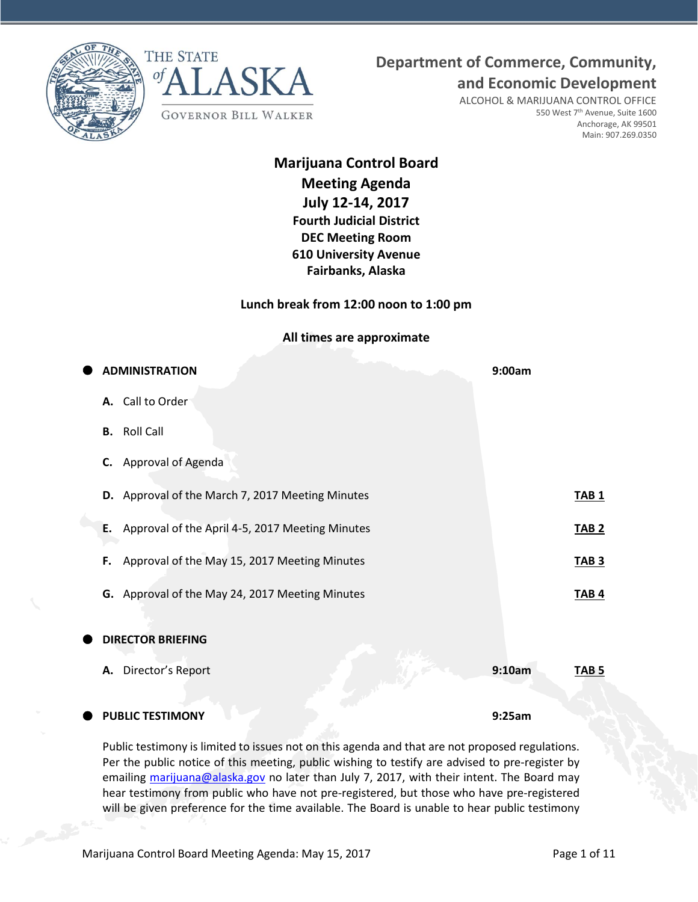



**and Economic Development**

ALCOHOL & MARIJUANA CONTROL OFFICE 550 West 7<sup>th</sup> Avenue, Suite 1600 Anchorage, AK 99501 Main: 907.269.0350

# **Marijuana Control Board Meeting Agenda July 12-14, 2017 Fourth Judicial District DEC Meeting Room 610 University Avenue Fairbanks, Alaska**

**Lunch break from 12:00 noon to 1:00 pm**

**All times are approximate**

| <b>ADMINISTRATION</b>                                 | 9:00am |              |
|-------------------------------------------------------|--------|--------------|
| A. Call to Order                                      |        |              |
| <b>Roll Call</b><br>В.                                |        |              |
| <b>Approval of Agenda</b><br>C.                       |        |              |
| D. Approval of the March 7, 2017 Meeting Minutes      |        | <b>TAB1</b>  |
| Approval of the April 4-5, 2017 Meeting Minutes<br>Ε. |        | <b>TAB 2</b> |
| Approval of the May 15, 2017 Meeting Minutes<br>F.    |        | <b>TAB 3</b> |
| G. Approval of the May 24, 2017 Meeting Minutes       |        | <b>TAB4</b>  |
| <b>DIRECTOR BRIEFING</b>                              |        |              |
| Director's Report<br>Α.                               | 9:10am | <b>TAB 5</b> |
| <b>PUBLIC TESTIMONY</b>                               | 9:25am |              |

Public testimony is limited to issues not on this agenda and that are not proposed regulations. Per the public notice of this meeting, public wishing to testify are advised to pre-register by emailing [marijuana@alaska.gov](mailto:marijuana@alaska.gov) no later than July 7, 2017, with their intent. The Board may hear testimony from public who have not pre-registered, but those who have pre-registered will be given preference for the time available. The Board is unable to hear public testimony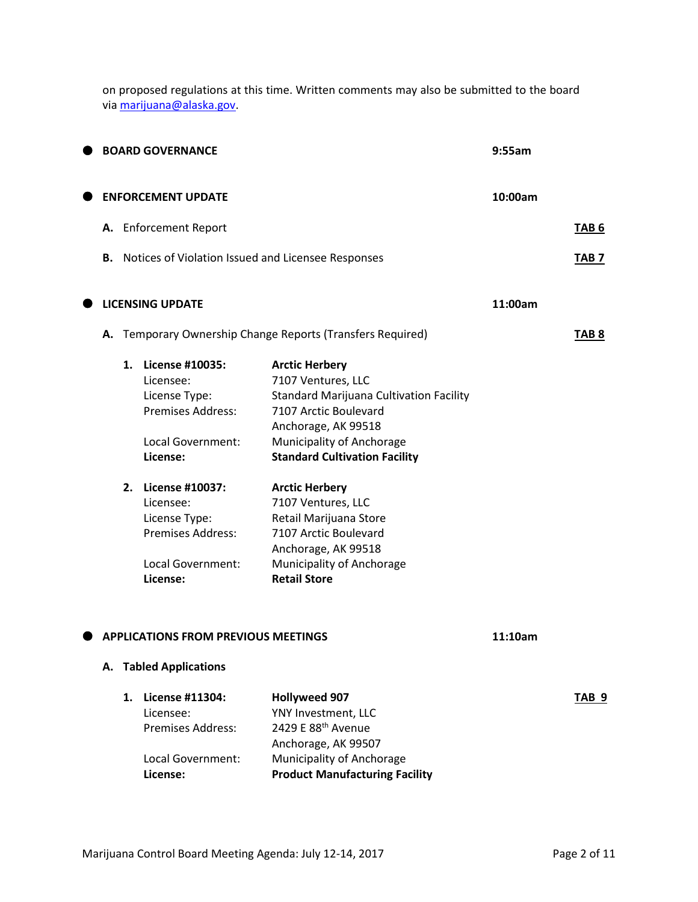on proposed regulations at this time. Written comments may also be submitted to the board via [marijuana@alaska.gov.](mailto:marijuana@alaska.gov)

|    |    | <b>BOARD GOVERNANCE</b>                                                                                                                                                                                                     |                                                                                                                                                                                                                                                                                                                                                                                                 | 9:55am  |                  |
|----|----|-----------------------------------------------------------------------------------------------------------------------------------------------------------------------------------------------------------------------------|-------------------------------------------------------------------------------------------------------------------------------------------------------------------------------------------------------------------------------------------------------------------------------------------------------------------------------------------------------------------------------------------------|---------|------------------|
|    |    | <b>ENFORCEMENT UPDATE</b>                                                                                                                                                                                                   |                                                                                                                                                                                                                                                                                                                                                                                                 | 10:00am |                  |
|    |    | A. Enforcement Report                                                                                                                                                                                                       |                                                                                                                                                                                                                                                                                                                                                                                                 |         | TAB <sub>6</sub> |
| В. |    |                                                                                                                                                                                                                             | Notices of Violation Issued and Licensee Responses                                                                                                                                                                                                                                                                                                                                              |         | TAB <sub>7</sub> |
|    |    | <b>LICENSING UPDATE</b>                                                                                                                                                                                                     |                                                                                                                                                                                                                                                                                                                                                                                                 | 11:00am |                  |
| А. |    |                                                                                                                                                                                                                             | Temporary Ownership Change Reports (Transfers Required)                                                                                                                                                                                                                                                                                                                                         |         | TAB <sub>8</sub> |
|    | 1. | <b>License #10035:</b><br>Licensee:<br>License Type:<br><b>Premises Address:</b><br>Local Government:<br>License:<br>2. License #10037:<br>Licensee:<br>License Type:<br>Premises Address:<br>Local Government:<br>License: | <b>Arctic Herbery</b><br>7107 Ventures, LLC<br><b>Standard Marijuana Cultivation Facility</b><br>7107 Arctic Boulevard<br>Anchorage, AK 99518<br>Municipality of Anchorage<br><b>Standard Cultivation Facility</b><br><b>Arctic Herbery</b><br>7107 Ventures, LLC<br>Retail Marijuana Store<br>7107 Arctic Boulevard<br>Anchorage, AK 99518<br>Municipality of Anchorage<br><b>Retail Store</b> |         |                  |
|    |    | <b>APPLICATIONS FROM PREVIOUS MEETINGS</b>                                                                                                                                                                                  |                                                                                                                                                                                                                                                                                                                                                                                                 | 11:10am |                  |
|    |    | A. Tabled Applications                                                                                                                                                                                                      |                                                                                                                                                                                                                                                                                                                                                                                                 |         |                  |
|    | 1. | License #11304:<br>Licensee:<br><b>Premises Address:</b><br>Local Government:<br>License:                                                                                                                                   | <b>Hollyweed 907</b><br>YNY Investment, LLC<br>2429 E 88 <sup>th</sup> Avenue<br>Anchorage, AK 99507<br>Municipality of Anchorage<br><b>Product Manufacturing Facility</b>                                                                                                                                                                                                                      |         | TAB <sub>9</sub> |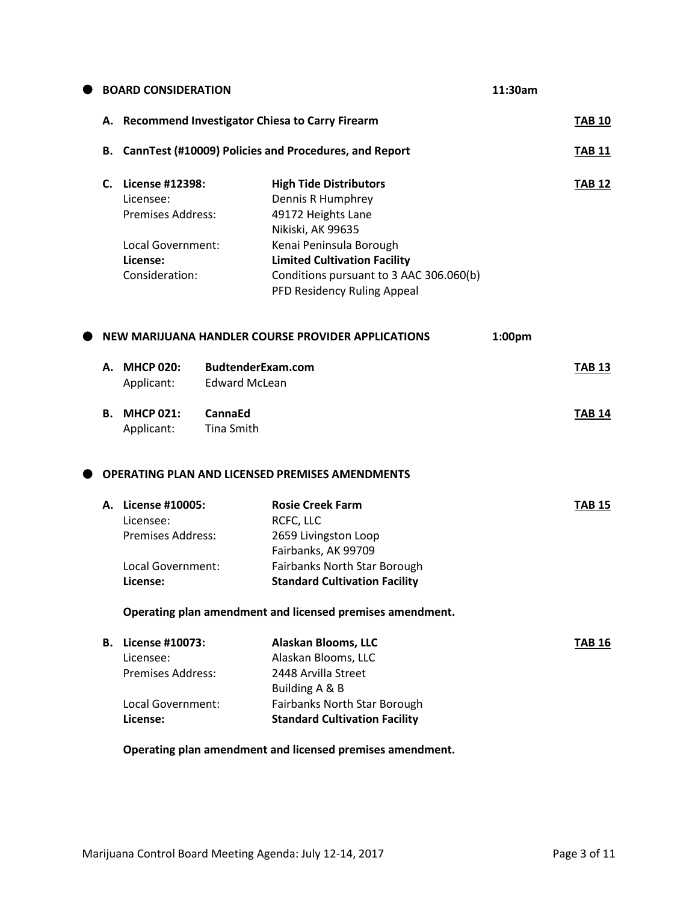| <b>BOARD CONSIDERATION</b>                                  |                                                                                                             | 11:30am                                   |                                                                                                                                                                                                                                           |               |               |
|-------------------------------------------------------------|-------------------------------------------------------------------------------------------------------------|-------------------------------------------|-------------------------------------------------------------------------------------------------------------------------------------------------------------------------------------------------------------------------------------------|---------------|---------------|
| <b>Recommend Investigator Chiesa to Carry Firearm</b><br>А. |                                                                                                             |                                           |                                                                                                                                                                                                                                           | <b>TAB 10</b> |               |
| В.                                                          |                                                                                                             |                                           | CannTest (#10009) Policies and Procedures, and Report                                                                                                                                                                                     |               | <b>TAB 11</b> |
| C.                                                          | License #12398:<br>Licensee:<br><b>Premises Address:</b><br>Local Government:<br>License:<br>Consideration: |                                           | <b>High Tide Distributors</b><br>Dennis R Humphrey<br>49172 Heights Lane<br>Nikiski, AK 99635<br>Kenai Peninsula Borough<br><b>Limited Cultivation Facility</b><br>Conditions pursuant to 3 AAC 306.060(b)<br>PFD Residency Ruling Appeal |               | <b>TAB 12</b> |
|                                                             |                                                                                                             |                                           | NEW MARIJUANA HANDLER COURSE PROVIDER APPLICATIONS                                                                                                                                                                                        | 1:00pm        |               |
| А.                                                          | <b>MHCP 020:</b><br>Applicant:                                                                              | BudtenderExam.com<br><b>Edward McLean</b> |                                                                                                                                                                                                                                           |               | <b>TAB 13</b> |
| В.                                                          | <b>MHCP 021:</b><br>Applicant:                                                                              | <b>CannaEd</b><br><b>Tina Smith</b>       |                                                                                                                                                                                                                                           |               | <b>TAB 14</b> |
|                                                             |                                                                                                             |                                           | <b>OPERATING PLAN AND LICENSED PREMISES AMENDMENTS</b>                                                                                                                                                                                    |               |               |
|                                                             | A. License #10005:<br>Licensee:<br><b>Premises Address:</b><br>Local Government:<br>License:                |                                           | <b>Rosie Creek Farm</b><br>RCFC, LLC<br>2659 Livingston Loop<br>Fairbanks, AK 99709<br>Fairbanks North Star Borough<br><b>Standard Cultivation Facility</b>                                                                               |               | <b>TAB 15</b> |
| Operating plan amendment and licensed premises amendment.   |                                                                                                             |                                           |                                                                                                                                                                                                                                           |               |               |
|                                                             | <b>B.</b> License #10073:<br>Licensee:<br><b>Premises Address:</b><br>Local Government:                     |                                           | Alaskan Blooms, LLC<br>Alaskan Blooms, LLC<br>2448 Arvilla Street<br>Building A & B<br>Fairbanks North Star Borough                                                                                                                       |               | <b>TAB 16</b> |
|                                                             | License:                                                                                                    |                                           | <b>Standard Cultivation Facility</b><br>Operating plan amendment and licensed premises amendment.                                                                                                                                         |               |               |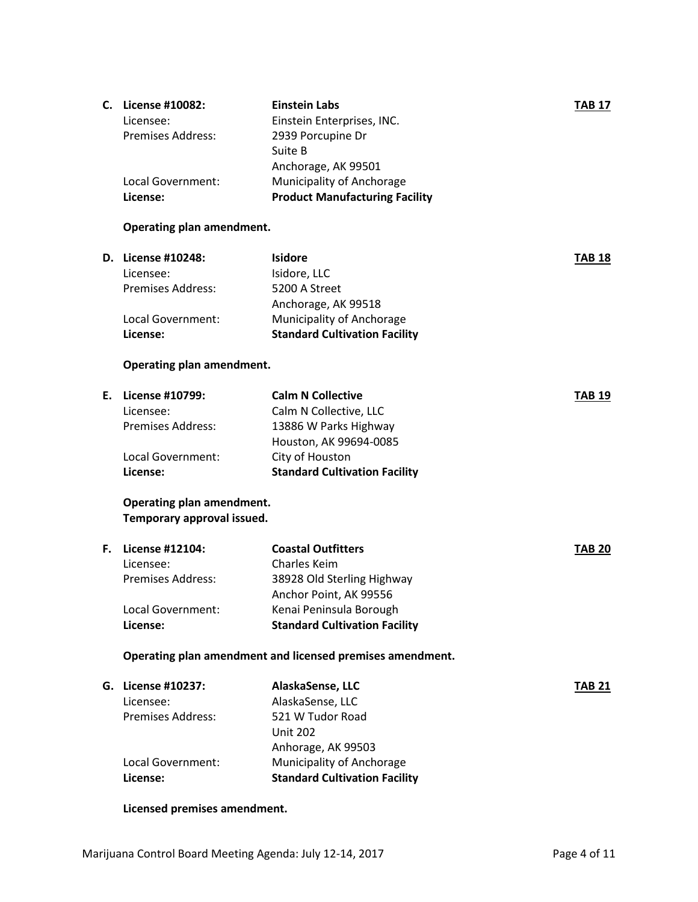| License #10082:          | <b>Einstein Labs</b>                  | <b>TAB 17</b> |
|--------------------------|---------------------------------------|---------------|
| Licensee:                | Einstein Enterprises, INC.            |               |
| <b>Premises Address:</b> | 2939 Porcupine Dr                     |               |
|                          | Suite B                               |               |
|                          | Anchorage, AK 99501                   |               |
| Local Government:        | <b>Municipality of Anchorage</b>      |               |
| License:                 | <b>Product Manufacturing Facility</b> |               |
|                          | С.                                    |               |

# **Operating plan amendment.**

| <b>D.</b> License #10248: | <b>Isidore</b>                       | <b>TAB 18</b> |
|---------------------------|--------------------------------------|---------------|
| Licensee:                 | Isidore, LLC                         |               |
| <b>Premises Address:</b>  | 5200 A Street                        |               |
|                           | Anchorage, AK 99518                  |               |
| Local Government:         | Municipality of Anchorage            |               |
| License:                  | <b>Standard Cultivation Facility</b> |               |
|                           |                                      |               |

# **Operating plan amendment.**

| E. License #10799:       | <b>Calm N Collective</b>             | <b>TAB 19</b> |
|--------------------------|--------------------------------------|---------------|
| Licensee:                | Calm N Collective, LLC               |               |
| <b>Premises Address:</b> | 13886 W Parks Highway                |               |
|                          | Houston, AK 99694-0085               |               |
| Local Government:        | City of Houston                      |               |
| License:                 | <b>Standard Cultivation Facility</b> |               |

## **Operating plan amendment. Temporary approval issued.**

| F. | License #12104:          | <b>Coastal Outfitters</b>            | <b>TAB 20</b> |
|----|--------------------------|--------------------------------------|---------------|
|    | Licensee:                | Charles Keim                         |               |
|    | <b>Premises Address:</b> | 38928 Old Sterling Highway           |               |
|    |                          | Anchor Point, AK 99556               |               |
|    | Local Government:        | Kenai Peninsula Borough              |               |
|    | License:                 | <b>Standard Cultivation Facility</b> |               |

## **Operating plan amendment and licensed premises amendment.**

#### **Licensed premises amendment.**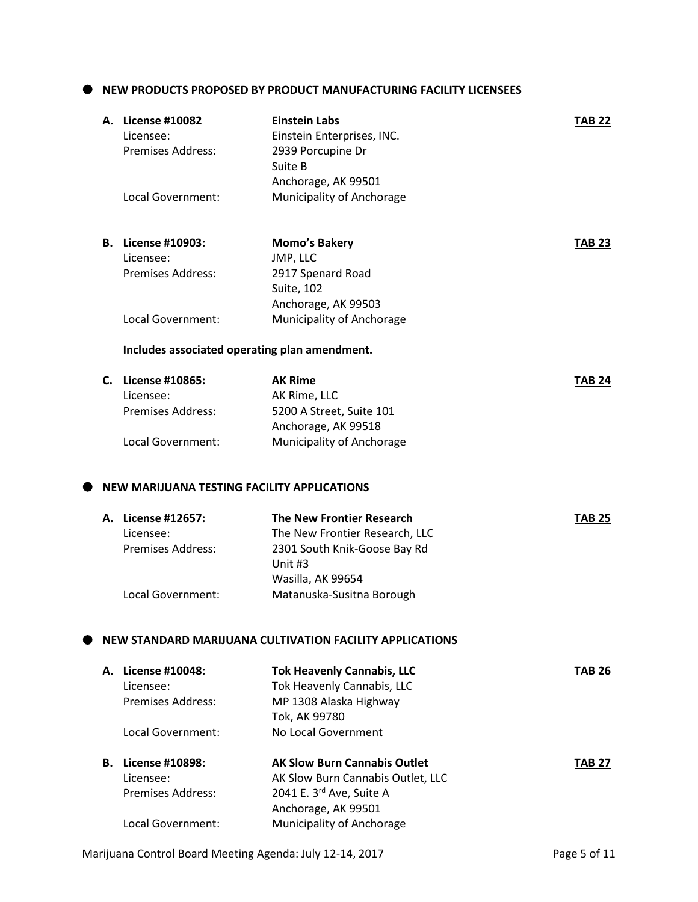### **NEW PRODUCTS PROPOSED BY PRODUCT MANUFACTURING FACILITY LICENSEES**

|    | A. License #10082<br>Licensee:<br><b>Premises Address:</b> | <b>Einstein Labs</b><br>Einstein Enterprises, INC.<br>2939 Porcupine Dr<br>Suite B | <b>TAB 22</b> |
|----|------------------------------------------------------------|------------------------------------------------------------------------------------|---------------|
|    | Local Government:                                          | Anchorage, AK 99501<br>Municipality of Anchorage                                   |               |
|    | <b>B.</b> License #10903:                                  | Momo's Bakery                                                                      | <b>TAB 23</b> |
|    | Licensee:<br><b>Premises Address:</b>                      | JMP, LLC<br>2917 Spenard Road<br><b>Suite, 102</b>                                 |               |
|    | Local Government:                                          | Anchorage, AK 99503<br>Municipality of Anchorage                                   |               |
|    |                                                            | Includes associated operating plan amendment.                                      |               |
|    | C. License #10865:                                         | <b>AK Rime</b>                                                                     | <b>TAB 24</b> |
|    | Licensee:<br><b>Premises Address:</b>                      | AK Rime, LLC<br>5200 A Street, Suite 101<br>Anchorage, AK 99518                    |               |
|    | <b>Local Government:</b>                                   | Municipality of Anchorage                                                          |               |
|    | NEW MARIJUANA TESTING FACILITY APPLICATIONS                |                                                                                    |               |
|    | A. License #12657:                                         | The New Frontier Research                                                          | <b>TAB 25</b> |
|    | Licensee:<br><b>Premises Address:</b>                      | The New Frontier Research, LLC<br>2301 South Knik-Goose Bay Rd<br>Unit #3          |               |
|    | Local Government:                                          | Wasilla, AK 99654<br>Matanuska-Susitna Borough                                     |               |
|    |                                                            | NEW STANDARD MARIJUANA CULTIVATION FACILITY APPLICATIONS                           |               |
|    | A. License #10048:                                         | <b>Tok Heavenly Cannabis, LLC</b>                                                  | <b>TAB 26</b> |
|    | Licensee:<br><b>Premises Address:</b>                      | Tok Heavenly Cannabis, LLC<br>MP 1308 Alaska Highway                               |               |
|    | Local Government:                                          | Tok, AK 99780<br>No Local Government                                               |               |
| В. | License #10898:<br>Licensee:                               | <b>AK Slow Burn Cannabis Outlet</b><br>AK Slow Burn Cannabis Outlet, LLC           | <b>TAB 27</b> |
|    | <b>Premises Address:</b>                                   | 2041 E. 3rd Ave, Suite A<br>Anchorage, AK 99501                                    |               |
|    | Local Government:                                          | Municipality of Anchorage                                                          |               |

Marijuana Control Board Meeting Agenda: July 12-14, 2017 **Page 5 of 11**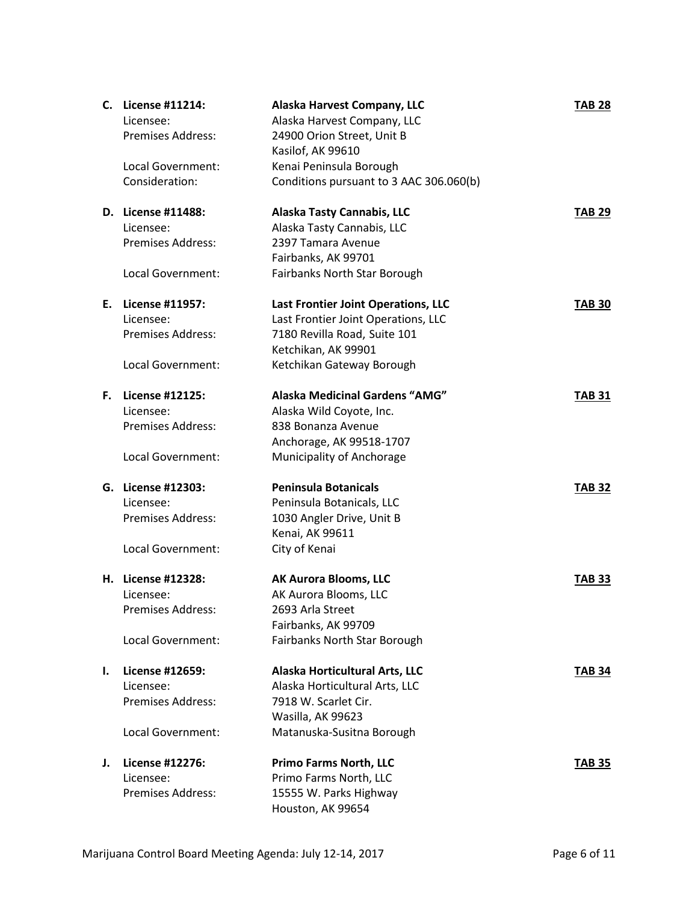| С. | License #11214:<br>Licensee:<br><b>Premises Address:</b> | Alaska Harvest Company, LLC<br>Alaska Harvest Company, LLC<br>24900 Orion Street, Unit B | <b>TAB 28</b> |
|----|----------------------------------------------------------|------------------------------------------------------------------------------------------|---------------|
|    |                                                          | Kasilof, AK 99610                                                                        |               |
|    | Local Government:                                        | Kenai Peninsula Borough                                                                  |               |
|    | Consideration:                                           | Conditions pursuant to 3 AAC 306.060(b)                                                  |               |
|    | D. License #11488:                                       | <b>Alaska Tasty Cannabis, LLC</b>                                                        | <b>TAB 29</b> |
|    | Licensee:                                                | Alaska Tasty Cannabis, LLC                                                               |               |
|    | <b>Premises Address:</b>                                 | 2397 Tamara Avenue                                                                       |               |
|    |                                                          | Fairbanks, AK 99701                                                                      |               |
|    | Local Government:                                        | Fairbanks North Star Borough                                                             |               |
| Ε. | License #11957:                                          | Last Frontier Joint Operations, LLC                                                      | <b>TAB 30</b> |
|    | Licensee:                                                | Last Frontier Joint Operations, LLC                                                      |               |
|    | <b>Premises Address:</b>                                 | 7180 Revilla Road, Suite 101                                                             |               |
|    |                                                          | Ketchikan, AK 99901                                                                      |               |
|    | Local Government:                                        | Ketchikan Gateway Borough                                                                |               |
| F. | <b>License #12125:</b>                                   | Alaska Medicinal Gardens "AMG"                                                           | <b>TAB 31</b> |
|    | Licensee:                                                | Alaska Wild Coyote, Inc.                                                                 |               |
|    | <b>Premises Address:</b>                                 | 838 Bonanza Avenue                                                                       |               |
|    |                                                          | Anchorage, AK 99518-1707                                                                 |               |
|    | Local Government:                                        | Municipality of Anchorage                                                                |               |
|    | G. License #12303:                                       | <b>Peninsula Botanicals</b>                                                              | <b>TAB 32</b> |
|    | Licensee:                                                | Peninsula Botanicals, LLC                                                                |               |
|    | <b>Premises Address:</b>                                 | 1030 Angler Drive, Unit B                                                                |               |
|    |                                                          | Kenai, AK 99611                                                                          |               |
|    | Local Government:                                        | City of Kenai                                                                            |               |
|    | H. License #12328:                                       | <b>AK Aurora Blooms, LLC</b>                                                             | <b>TAB 33</b> |
|    | Licensee:                                                | AK Aurora Blooms, LLC                                                                    |               |
|    | Premises Address:                                        | 2693 Arla Street                                                                         |               |
|    |                                                          | Fairbanks, AK 99709                                                                      |               |
|    | Local Government:                                        | Fairbanks North Star Borough                                                             |               |
| Ι. | License #12659:                                          | Alaska Horticultural Arts, LLC                                                           | <b>TAB 34</b> |
|    | Licensee:                                                | Alaska Horticultural Arts, LLC                                                           |               |
|    | <b>Premises Address:</b>                                 | 7918 W. Scarlet Cir.                                                                     |               |
|    |                                                          | Wasilla, AK 99623                                                                        |               |
|    | Local Government:                                        | Matanuska-Susitna Borough                                                                |               |
| J. | License #12276:                                          | <b>Primo Farms North, LLC</b>                                                            | <b>TAB 35</b> |
|    | Licensee:                                                | Primo Farms North, LLC                                                                   |               |
|    | <b>Premises Address:</b>                                 | 15555 W. Parks Highway                                                                   |               |
|    |                                                          | Houston, AK 99654                                                                        |               |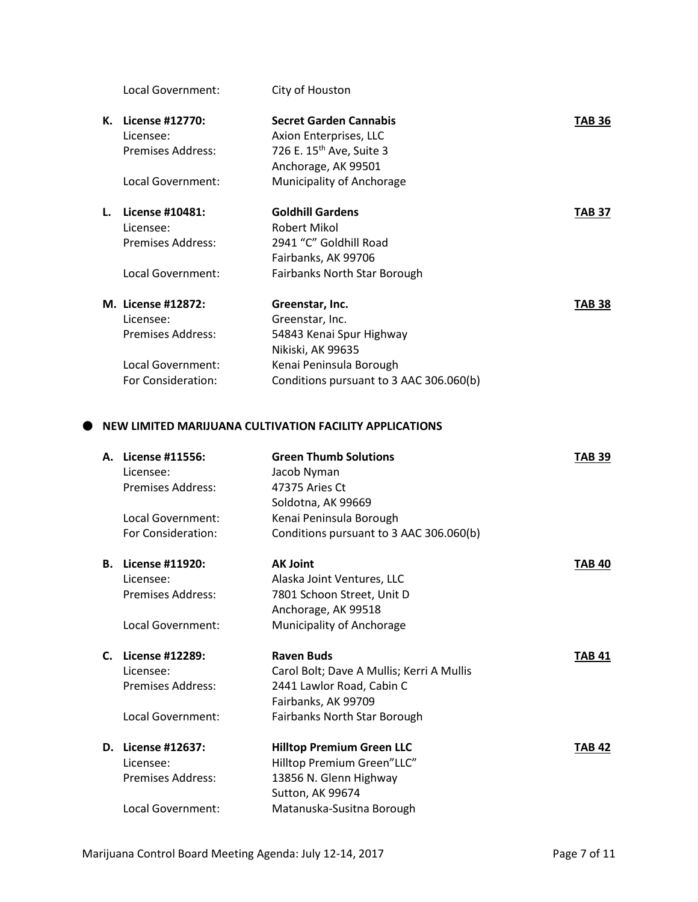|    | Local Government:  | City of Houston                         |               |
|----|--------------------|-----------------------------------------|---------------|
| К. | License #12770:    | <b>Secret Garden Cannabis</b>           | <b>TAB 36</b> |
|    | Licensee:          | Axion Enterprises, LLC                  |               |
|    | Premises Address:  | 726 E. 15 <sup>th</sup> Ave, Suite 3    |               |
|    |                    | Anchorage, AK 99501                     |               |
|    | Local Government:  | Municipality of Anchorage               |               |
| L. | License #10481:    | <b>Goldhill Gardens</b>                 | <b>TAB 37</b> |
|    | Licensee:          | Robert Mikol                            |               |
|    | Premises Address:  | 2941 "C" Goldhill Road                  |               |
|    |                    | Fairbanks, AK 99706                     |               |
|    | Local Government:  | <b>Fairbanks North Star Borough</b>     |               |
|    | M. License #12872: | Greenstar, Inc.                         | TAB 38        |
|    | Licensee:          | Greenstar, Inc.                         |               |
|    | Premises Address:  | 54843 Kenai Spur Highway                |               |
|    |                    | Nikiski, AK 99635                       |               |
|    | Local Government:  | Kenai Peninsula Borough                 |               |
|    | For Consideration: | Conditions pursuant to 3 AAC 306.060(b) |               |
|    |                    |                                         |               |

#### **NEW LIMITED MARIJUANA CULTIVATION FACILITY APPLICATIONS**

| А. | License #11556:<br>Licensee: | <b>Green Thumb Solutions</b><br>Jacob Nyman | <b>TAB 39</b> |
|----|------------------------------|---------------------------------------------|---------------|
|    | Premises Address:            | 47375 Aries Ct                              |               |
|    |                              | Soldotna, AK 99669                          |               |
|    | Local Government:            | Kenai Peninsula Borough                     |               |
|    | For Consideration:           | Conditions pursuant to 3 AAC 306.060(b)     |               |
| В. | License #11920:              | <b>AK Joint</b>                             | <b>TAB 40</b> |
|    | Licensee:                    | Alaska Joint Ventures, LLC                  |               |
|    | <b>Premises Address:</b>     | 7801 Schoon Street, Unit D                  |               |
|    |                              | Anchorage, AK 99518                         |               |
|    | Local Government:            | Municipality of Anchorage                   |               |
| C. | License #12289:              | <b>Raven Buds</b>                           | <b>TAB 41</b> |
|    | Licensee:                    | Carol Bolt; Dave A Mullis; Kerri A Mullis   |               |
|    | Premises Address:            | 2441 Lawlor Road, Cabin C                   |               |
|    |                              | Fairbanks, AK 99709                         |               |
|    | Local Government:            | Fairbanks North Star Borough                |               |
| D. | License #12637:              | <b>Hilltop Premium Green LLC</b>            | <b>TAB 42</b> |
|    | Licensee:                    | Hilltop Premium Green"LLC"                  |               |
|    | Premises Address:            | 13856 N. Glenn Highway                      |               |
|    |                              | Sutton, AK 99674                            |               |
|    | Local Government:            | Matanuska-Susitna Borough                   |               |
|    |                              |                                             |               |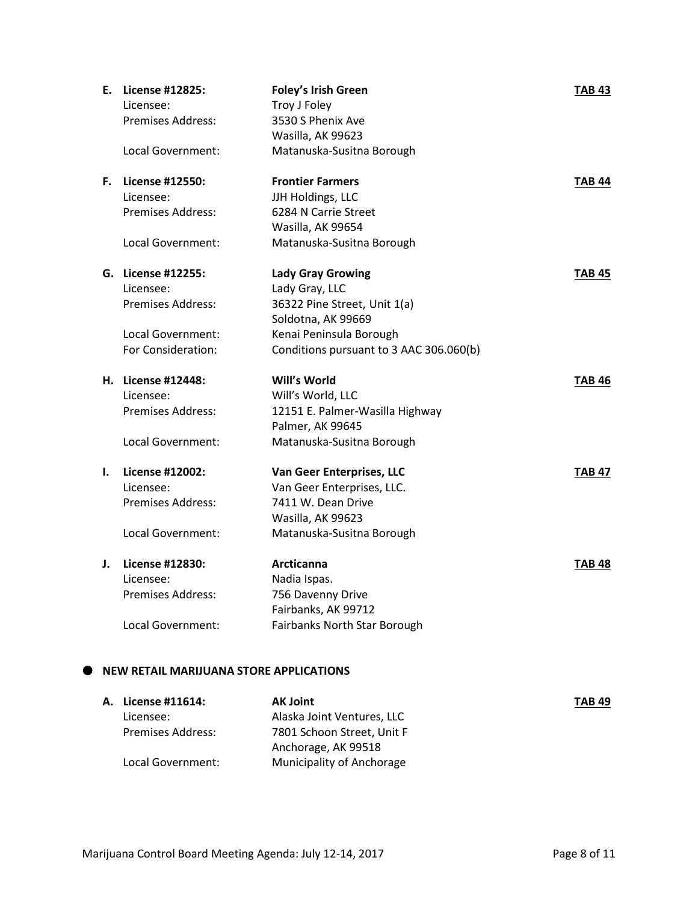|    | E. License #12825:<br>Licensee: | <b>Foley's Irish Green</b><br>Troy J Foley | <b>TAB 43</b> |
|----|---------------------------------|--------------------------------------------|---------------|
|    | Premises Address:               | 3530 S Phenix Ave                          |               |
|    |                                 | Wasilla, AK 99623                          |               |
|    | Local Government:               | Matanuska-Susitna Borough                  |               |
|    |                                 |                                            |               |
| F. | License #12550:                 | <b>Frontier Farmers</b>                    | <b>TAB 44</b> |
|    | Licensee:                       | JJH Holdings, LLC                          |               |
|    | <b>Premises Address:</b>        | 6284 N Carrie Street                       |               |
|    |                                 | Wasilla, AK 99654                          |               |
|    | Local Government:               | Matanuska-Susitna Borough                  |               |
|    | G. License #12255:              | <b>Lady Gray Growing</b>                   | <b>TAB 45</b> |
|    | Licensee:                       | Lady Gray, LLC                             |               |
|    | Premises Address:               | 36322 Pine Street, Unit 1(a)               |               |
|    |                                 | Soldotna, AK 99669                         |               |
|    | Local Government:               | Kenai Peninsula Borough                    |               |
|    | For Consideration:              | Conditions pursuant to 3 AAC 306.060(b)    |               |
|    | <b>H.</b> License #12448:       | Will's World                               | TAB 46        |
|    | Licensee:                       | Will's World, LLC                          |               |
|    | Premises Address:               | 12151 E. Palmer-Wasilla Highway            |               |
|    |                                 | Palmer, AK 99645                           |               |
|    | Local Government:               | Matanuska-Susitna Borough                  |               |
| ı. | License #12002:                 | Van Geer Enterprises, LLC                  | <b>TAB 47</b> |
|    | Licensee:                       | Van Geer Enterprises, LLC.                 |               |
|    | Premises Address:               | 7411 W. Dean Drive                         |               |
|    |                                 | Wasilla, AK 99623                          |               |
|    | Local Government:               | Matanuska-Susitna Borough                  |               |
| J. | License #12830:                 | Arcticanna                                 | <b>TAB 48</b> |
|    | Licensee:                       | Nadia Ispas.                               |               |
|    | Premises Address:               | 756 Davenny Drive                          |               |
|    |                                 | Fairbanks, AK 99712                        |               |
|    | Local Government:               | Fairbanks North Star Borough               |               |

| A. License #11614:       | <b>AK Joint</b>            | <b>TAB 49</b> |
|--------------------------|----------------------------|---------------|
| Licensee:                | Alaska Joint Ventures, LLC |               |
| <b>Premises Address:</b> | 7801 Schoon Street, Unit F |               |
|                          | Anchorage, AK 99518        |               |
| Local Government:        | Municipality of Anchorage  |               |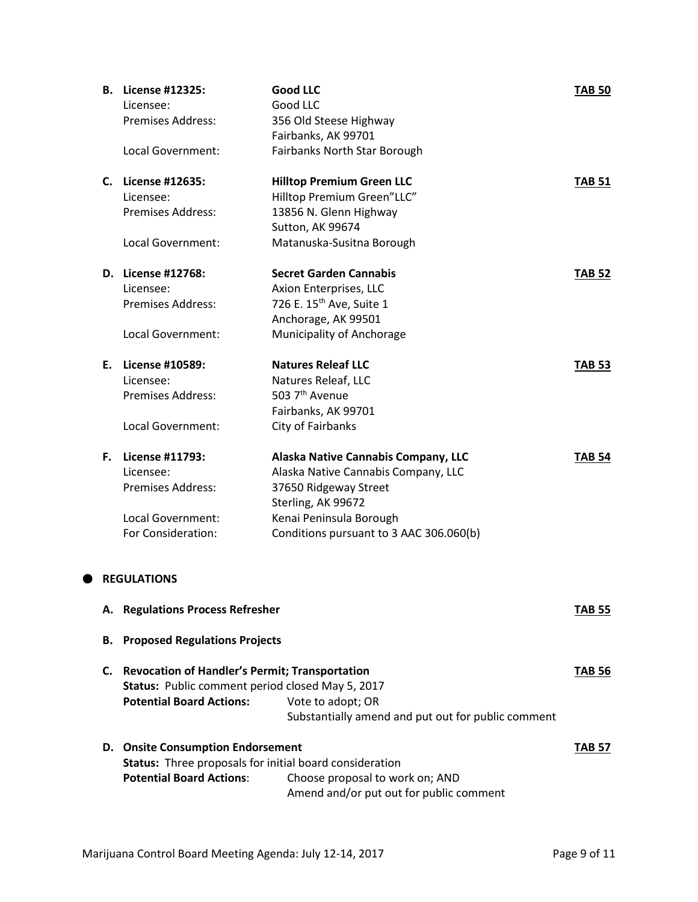|    | <b>B.</b> License #12325:                               | <b>Good LLC</b>                                    | <b>TAB 50</b> |
|----|---------------------------------------------------------|----------------------------------------------------|---------------|
|    | Licensee:                                               | Good LLC                                           |               |
|    | <b>Premises Address:</b>                                | 356 Old Steese Highway                             |               |
|    |                                                         | Fairbanks, AK 99701                                |               |
|    | Local Government:                                       | Fairbanks North Star Borough                       |               |
|    | C. License #12635:                                      | <b>Hilltop Premium Green LLC</b>                   | <b>TAB 51</b> |
|    | Licensee:                                               | Hilltop Premium Green"LLC"                         |               |
|    | <b>Premises Address:</b>                                | 13856 N. Glenn Highway                             |               |
|    |                                                         | Sutton, AK 99674                                   |               |
|    | <b>Local Government:</b>                                | Matanuska-Susitna Borough                          |               |
|    | D. License #12768:                                      | <b>Secret Garden Cannabis</b>                      | <b>TAB 52</b> |
|    | Licensee:                                               | Axion Enterprises, LLC                             |               |
|    | <b>Premises Address:</b>                                | 726 E. 15 <sup>th</sup> Ave, Suite 1               |               |
|    |                                                         | Anchorage, AK 99501                                |               |
|    | Local Government:                                       | Municipality of Anchorage                          |               |
| Е. | <b>License #10589:</b>                                  | <b>Natures Releaf LLC</b>                          | <b>TAB 53</b> |
|    | Licensee:                                               | Natures Releaf, LLC                                |               |
|    | <b>Premises Address:</b>                                | 503 7 <sup>th</sup> Avenue                         |               |
|    |                                                         | Fairbanks, AK 99701                                |               |
|    | Local Government:                                       | City of Fairbanks                                  |               |
|    | F. License #11793:                                      | <b>Alaska Native Cannabis Company, LLC</b>         | <b>TAB 54</b> |
|    | Licensee:                                               | Alaska Native Cannabis Company, LLC                |               |
|    | <b>Premises Address:</b>                                | 37650 Ridgeway Street                              |               |
|    |                                                         | Sterling, AK 99672                                 |               |
|    | Local Government:                                       | Kenai Peninsula Borough                            |               |
|    | For Consideration:                                      | Conditions pursuant to 3 AAC 306.060(b)            |               |
|    | <b>REGULATIONS</b>                                      |                                                    |               |
|    | A. Regulations Process Refresher                        |                                                    | <b>TAB 55</b> |
|    |                                                         |                                                    |               |
| В. | <b>Proposed Regulations Projects</b>                    |                                                    |               |
|    | C. Revocation of Handler's Permit; Transportation       |                                                    | <b>TAB 56</b> |
|    | Status: Public comment period closed May 5, 2017        |                                                    |               |
|    | <b>Potential Board Actions:</b>                         | Vote to adopt; OR                                  |               |
|    |                                                         | Substantially amend and put out for public comment |               |
|    | D. Onsite Consumption Endorsement                       |                                                    | <b>TAB 57</b> |
|    | Status: Three proposals for initial board consideration |                                                    |               |
|    | <b>Potential Board Actions:</b>                         | Choose proposal to work on; AND                    |               |
|    |                                                         | Amend and/or put out for public comment            |               |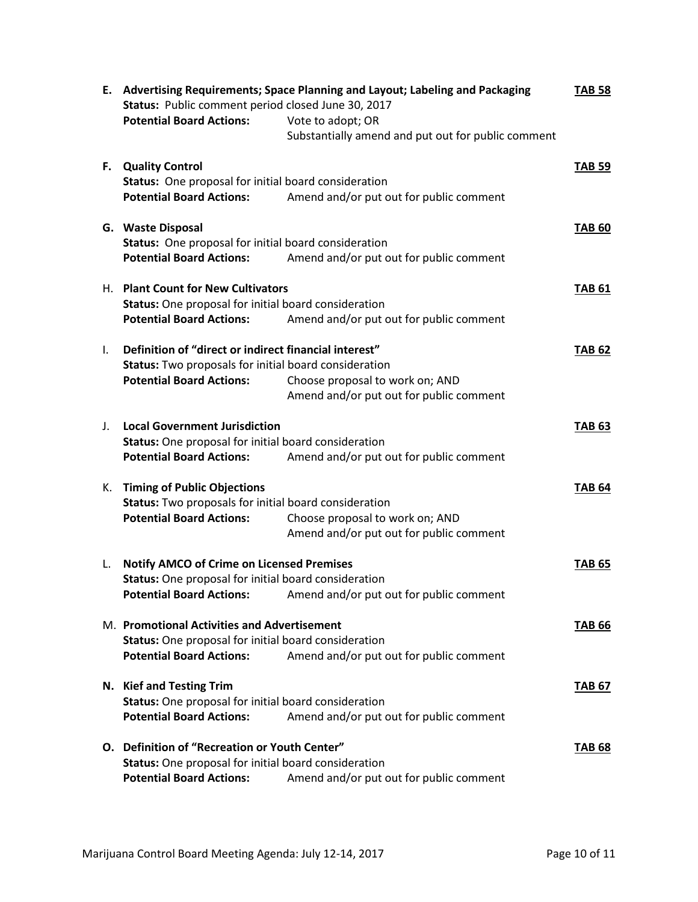|    | Status: Public comment period closed June 30, 2017<br><b>Potential Board Actions:</b>                                                             | E. Advertising Requirements; Space Planning and Layout; Labeling and Packaging<br>Vote to adopt; OR<br>Substantially amend and put out for public comment | <b>TAB 58</b> |
|----|---------------------------------------------------------------------------------------------------------------------------------------------------|-----------------------------------------------------------------------------------------------------------------------------------------------------------|---------------|
|    | F. Quality Control<br>Status: One proposal for initial board consideration<br><b>Potential Board Actions:</b>                                     | Amend and/or put out for public comment                                                                                                                   | <b>TAB 59</b> |
|    | G. Waste Disposal<br>Status: One proposal for initial board consideration<br><b>Potential Board Actions:</b>                                      | Amend and/or put out for public comment                                                                                                                   | <b>TAB 60</b> |
|    | H. Plant Count for New Cultivators<br>Status: One proposal for initial board consideration<br><b>Potential Board Actions:</b>                     | Amend and/or put out for public comment                                                                                                                   | <b>TAB 61</b> |
| I. | Definition of "direct or indirect financial interest"<br>Status: Two proposals for initial board consideration<br><b>Potential Board Actions:</b> | Choose proposal to work on; AND<br>Amend and/or put out for public comment                                                                                | <b>TAB 62</b> |
| J. | <b>Local Government Jurisdiction</b><br><b>Status:</b> One proposal for initial board consideration<br><b>Potential Board Actions:</b>            | Amend and/or put out for public comment                                                                                                                   | <b>TAB 63</b> |
|    | K. Timing of Public Objections<br>Status: Two proposals for initial board consideration<br><b>Potential Board Actions:</b>                        | Choose proposal to work on; AND<br>Amend and/or put out for public comment                                                                                | <b>TAB 64</b> |
| L. | <b>Notify AMCO of Crime on Licensed Premises</b><br>Status: One proposal for initial board consideration                                          | Potential Board Actions: Amend and/or put out for public comment                                                                                          | <b>TAB 65</b> |
|    | M. Promotional Activities and Advertisement<br><b>Status:</b> One proposal for initial board consideration<br><b>Potential Board Actions:</b>     | Amend and/or put out for public comment                                                                                                                   | <b>TAB 66</b> |
|    | N. Kief and Testing Trim<br>Status: One proposal for initial board consideration<br><b>Potential Board Actions:</b>                               | Amend and/or put out for public comment                                                                                                                   | <b>TAB 67</b> |
|    | O. Definition of "Recreation or Youth Center"<br>Status: One proposal for initial board consideration<br><b>Potential Board Actions:</b>          | Amend and/or put out for public comment                                                                                                                   | <b>TAB 68</b> |